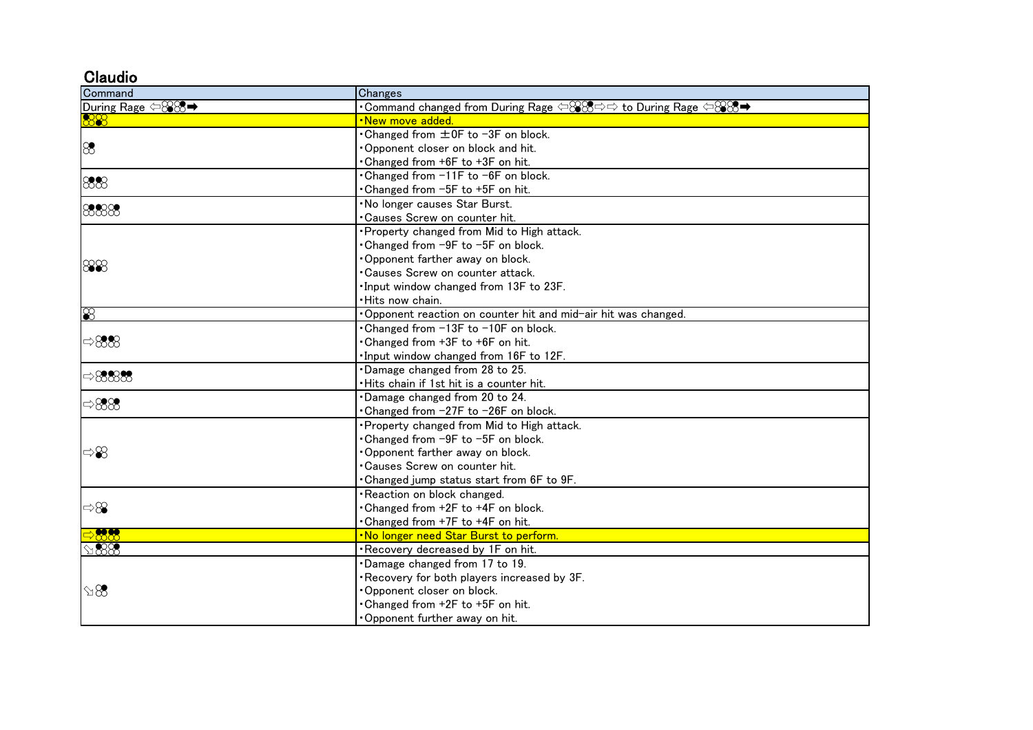## **Claudio**

| Command                                | Changes                                                                                                                                           |
|----------------------------------------|---------------------------------------------------------------------------------------------------------------------------------------------------|
| During Rage $\lhd$ $\otimes$ $\otimes$ | $\cdot$ Command changed from During Rage $\Leftrightarrow$ $\otimes$ $\otimes$ $\Rightarrow$ to During Rage $\Leftrightarrow$ $\otimes$ $\otimes$ |
| 88                                     | <mark>New move added</mark>                                                                                                                       |
| 88                                     | • Changed from ±0F to -3F on block.                                                                                                               |
|                                        | Opponent closer on block and hit.                                                                                                                 |
|                                        | Changed from +6F to +3F on hit.                                                                                                                   |
| 888                                    | Changed from $-11F$ to $-6F$ on block.                                                                                                            |
|                                        | Changed from -5F to +5F on hit.                                                                                                                   |
| 8888                                   | No longer causes Star Burst.                                                                                                                      |
|                                        | Causes Screw on counter hit.                                                                                                                      |
|                                        | Property changed from Mid to High attack.                                                                                                         |
|                                        | •Changed from -9F to -5F on block.                                                                                                                |
| 888                                    | Opponent farther away on block.                                                                                                                   |
|                                        | •Causes Screw on counter attack.                                                                                                                  |
|                                        | Input window changed from 13F to 23F.                                                                                                             |
|                                        | Hits now chain.                                                                                                                                   |
| $\infty$                               | Opponent reaction on counter hit and mid-air hit was changed.                                                                                     |
| $\Rightarrow 888$                      | Changed from -13F to -10F on block.                                                                                                               |
|                                        | Changed from +3F to +6F on hit.                                                                                                                   |
|                                        | Input window changed from 16F to 12F.                                                                                                             |
| $\Rightarrow 8888$                     | Damage changed from 28 to 25.                                                                                                                     |
|                                        | Hits chain if 1st hit is a counter hit.                                                                                                           |
| $\Rightarrow 888$                      | Damage changed from 20 to 24.                                                                                                                     |
|                                        | •Changed from -27F to -26F on block.                                                                                                              |
| ⇔≌                                     | Property changed from Mid to High attack.                                                                                                         |
|                                        | Changed from −9F to −5F on block.                                                                                                                 |
|                                        | Opponent farther away on block.                                                                                                                   |
|                                        | •Causes Screw on counter hit.                                                                                                                     |
|                                        | Changed jump status start from 6F to 9F.                                                                                                          |
| $\Rightarrow \otimes$                  | Reaction on block changed.                                                                                                                        |
|                                        | Changed from +2F to +4F on block.                                                                                                                 |
|                                        | Changed from +7F to +4F on hit.                                                                                                                   |
| 88.88                                  | No longer need Star Burst to perform.                                                                                                             |
| $\mathcal{A}888$                       | Recovery decreased by 1F on hit.                                                                                                                  |
| $\Im 8$                                | Damage changed from 17 to 19.                                                                                                                     |
|                                        | Recovery for both players increased by 3F.                                                                                                        |
|                                        | Opponent closer on block.                                                                                                                         |
|                                        | Changed from +2F to +5F on hit.                                                                                                                   |
|                                        | Opponent further away on hit.                                                                                                                     |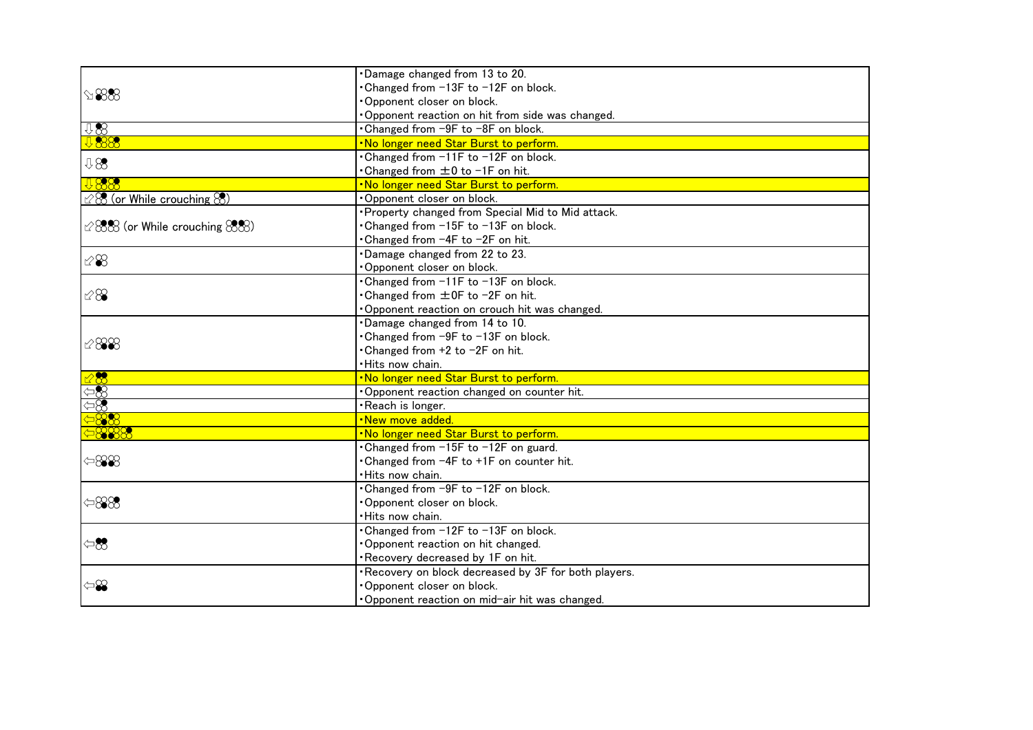| $\mathfrak{B}\otimes$                     | Damage changed from 13 to 20.                       |
|-------------------------------------------|-----------------------------------------------------|
|                                           | Changed from -13F to -12F on block.                 |
|                                           | Opponent closer on block.                           |
|                                           | Opponent reaction on hit from side was changed.     |
| 98                                        | . Changed from -9F to -8F on block.                 |
| 88                                        | . No longer need Star Burst to perform.             |
| 98                                        | •Changed from -11F to -12F on block.                |
|                                           | • Changed from ±0 to -1F on hit.                    |
| <b>U888</b>                               | . No longer need Star Burst to perform.             |
| $\otimes$ (or While crouching $\otimes$ ) | Opponent closer on block.                           |
| $\cong$ 888 (or While crouching 888)      | · Property changed from Special Mid to Mid attack.  |
|                                           | Changed from -15F to -13F on block.                 |
|                                           | •Changed from -4F to -2F on hit.                    |
| $\otimes\mathcal{S}$                      | Damage changed from 22 to 23.                       |
|                                           | Opponent closer on block.                           |
|                                           | •Changed from -11F to -13F on block.                |
| 1288                                      | • Changed from ±0F to -2F on hit.                   |
|                                           | Opponent reaction on crouch hit was changed.        |
|                                           | Damage changed from 14 to 10.                       |
|                                           | • Changed from -9F to -13F on block.                |
| $\mathscr{C}888$                          | • Changed from +2 to -2F on hit.                    |
|                                           | · Hits now chain.                                   |
| $\overline{\mathbf{3}}$                   | . No longer need Star Burst to perform.             |
| $\Leftrightarrow$                         | Opponent reaction changed on counter hit.           |
| $\approx$                                 | ·Reach is longer.                                   |
| 88                                        | .New move added.                                    |
| 888                                       | . No longer need Star Burst to perform.             |
| $\Leftrightarrow$ 88                      | • Changed from -15F to -12F on guard.               |
|                                           | • Changed from -4F to +1F on counter hit.           |
|                                           | · Hits now chain.                                   |
| $\Leftrightarrow$ 888                     | Changed from -9F to -12F on block.                  |
|                                           | Opponent closer on block.                           |
|                                           | Hits now chain.                                     |
| $\Leftrightarrow$                         | Changed from -12F to -13F on block.                 |
|                                           | Opponent reaction on hit changed.                   |
|                                           | Recovery decreased by 1F on hit.                    |
| $\Leftrightarrow$                         | Recovery on block decreased by 3F for both players. |
|                                           | Opponent closer on block.                           |
|                                           | Opponent reaction on mid-air hit was changed.       |